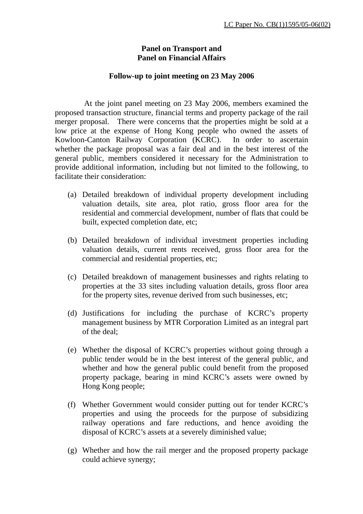## **Panel on Transport and Panel on Financial Affairs**

## **Follow-up to joint meeting on 23 May 2006**

 At the joint panel meeting on 23 May 2006, members examined the proposed transaction structure, financial terms and property package of the rail merger proposal. There were concerns that the properties might be sold at a low price at the expense of Hong Kong people who owned the assets of Kowloon-Canton Railway Corporation (KCRC). In order to ascertain whether the package proposal was a fair deal and in the best interest of the general public, members considered it necessary for the Administration to provide additional information, including but not limited to the following, to facilitate their consideration:

- (a) Detailed breakdown of individual property development including valuation details, site area, plot ratio, gross floor area for the residential and commercial development, number of flats that could be built, expected completion date, etc;
- (b) Detailed breakdown of individual investment properties including valuation details, current rents received, gross floor area for the commercial and residential properties, etc;
- (c) Detailed breakdown of management businesses and rights relating to properties at the 33 sites including valuation details, gross floor area for the property sites, revenue derived from such businesses, etc;
- (d) Justifications for including the purchase of KCRC's property management business by MTR Corporation Limited as an integral part of the deal;
- (e) Whether the disposal of KCRC's properties without going through a public tender would be in the best interest of the general public, and whether and how the general public could benefit from the proposed property package, bearing in mind KCRC's assets were owned by Hong Kong people;
- (f) Whether Government would consider putting out for tender KCRC's properties and using the proceeds for the purpose of subsidizing railway operations and fare reductions, and hence avoiding the disposal of KCRC's assets at a severely diminished value;
- (g) Whether and how the rail merger and the proposed property package could achieve synergy;